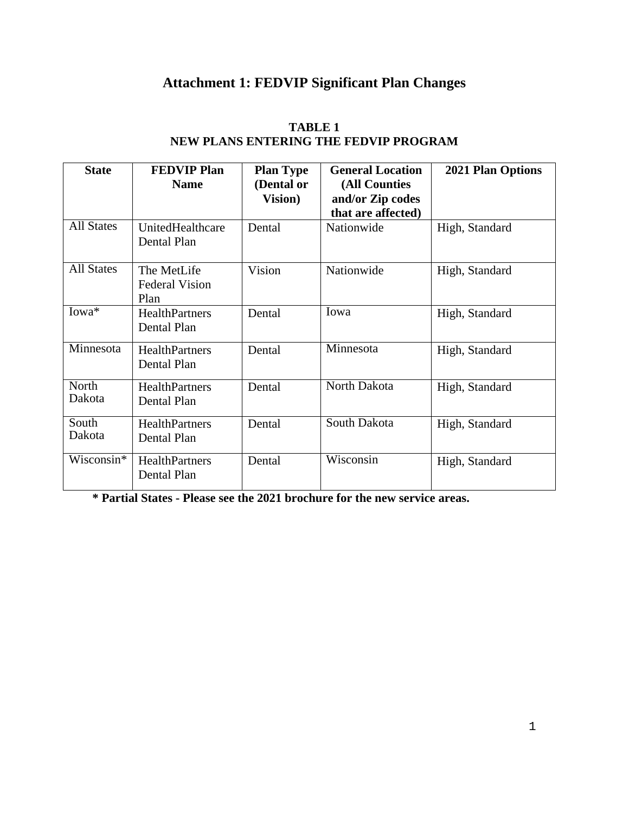## **Attachment 1: FEDVIP Significant Plan Changes**

| <b>State</b>      | <b>FEDVIP Plan</b><br><b>Name</b>            | <b>Plan Type</b><br>(Dental or<br><b>Vision</b> ) | <b>General Location</b><br>(All Counties<br>and/or Zip codes<br>that are affected) | <b>2021 Plan Options</b> |
|-------------------|----------------------------------------------|---------------------------------------------------|------------------------------------------------------------------------------------|--------------------------|
| <b>All States</b> | UnitedHealthcare<br>Dental Plan              | Dental                                            | Nationwide                                                                         | High, Standard           |
| <b>All States</b> | The MetLife<br><b>Federal Vision</b><br>Plan | Vision                                            | Nationwide                                                                         | High, Standard           |
| $Iowa*$           | <b>HealthPartners</b><br>Dental Plan         | Dental                                            | Iowa                                                                               | High, Standard           |
| Minnesota         | <b>HealthPartners</b><br>Dental Plan         | Dental                                            | Minnesota                                                                          | High, Standard           |
| North<br>Dakota   | <b>HealthPartners</b><br>Dental Plan         | Dental                                            | North Dakota                                                                       | High, Standard           |
| South<br>Dakota   | <b>HealthPartners</b><br>Dental Plan         | Dental                                            | South Dakota                                                                       | High, Standard           |
| $Wis consin*$     | <b>HealthPartners</b><br>Dental Plan         | Dental                                            | Wisconsin                                                                          | High, Standard           |

## **TABLE 1 NEW PLANS ENTERING THE FEDVIP PROGRAM**

**\* Partial States - Please see the 2021 brochure for the new service areas.**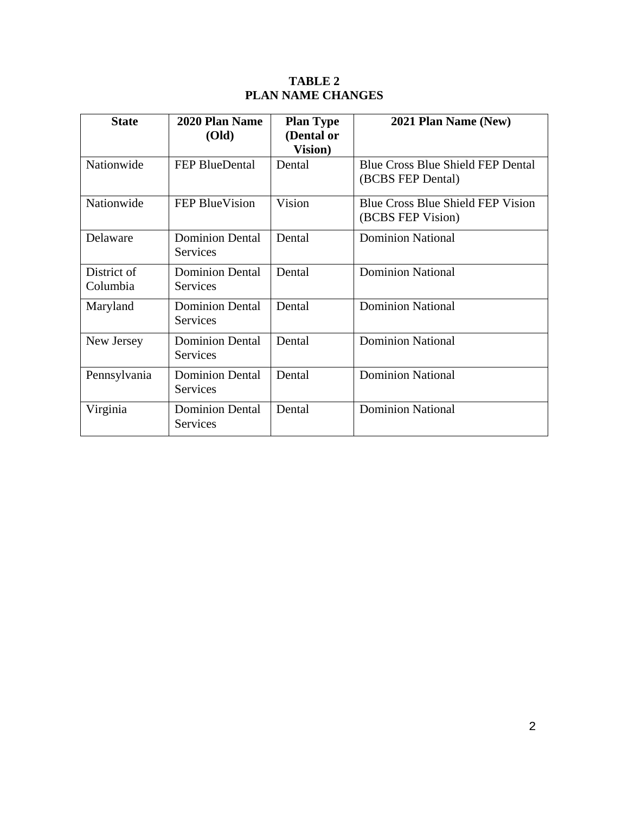## **TABLE 2 PLAN NAME CHANGES**

| <b>State</b>            | 2020 Plan Name                            | <b>Plan Type</b>              | 2021 Plan Name (New)                                          |
|-------------------------|-------------------------------------------|-------------------------------|---------------------------------------------------------------|
|                         | <b>(Old)</b>                              | (Dental or<br><b>Vision</b> ) |                                                               |
| Nationwide              | <b>FEP BlueDental</b>                     | Dental                        | <b>Blue Cross Blue Shield FEP Dental</b><br>(BCBS FEP Dental) |
| Nationwide              | <b>FEP BlueVision</b>                     | Vision                        | <b>Blue Cross Blue Shield FEP Vision</b><br>(BCBS FEP Vision) |
| Delaware                | <b>Dominion Dental</b><br>Services        | Dental                        | <b>Dominion National</b>                                      |
| District of<br>Columbia | <b>Dominion Dental</b><br>Services        | Dental                        | <b>Dominion National</b>                                      |
| Maryland                | <b>Dominion Dental</b><br>Services        | Dental                        | <b>Dominion National</b>                                      |
| New Jersey              | <b>Dominion Dental</b><br><b>Services</b> | Dental                        | <b>Dominion National</b>                                      |
| Pennsylvania            | <b>Dominion Dental</b><br><b>Services</b> | Dental                        | <b>Dominion National</b>                                      |
| Virginia                | <b>Dominion Dental</b><br>Services        | Dental                        | <b>Dominion National</b>                                      |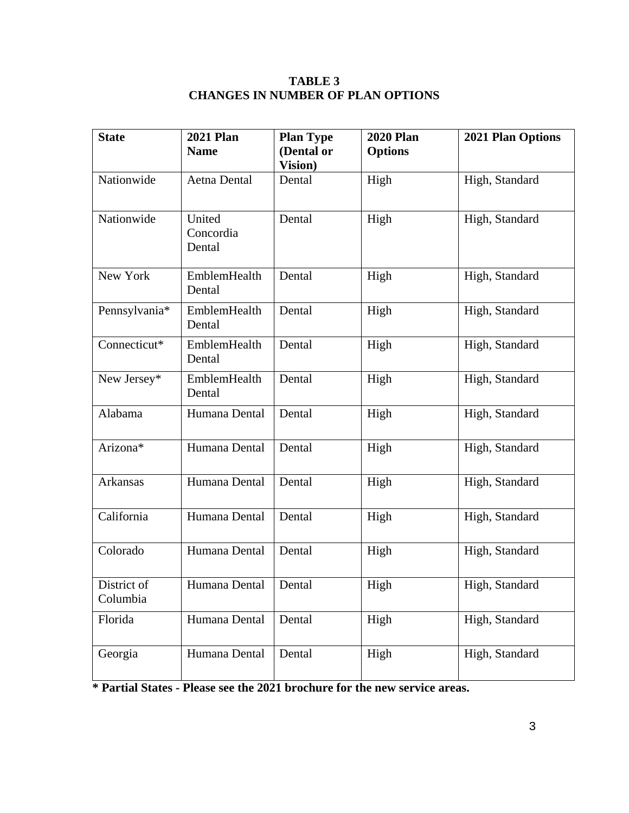## **TABLE 3 CHANGES IN NUMBER OF PLAN OPTIONS**

| <b>State</b>            | <b>2021 Plan</b><br><b>Name</b> | <b>Plan Type</b><br>(Dental or<br><b>Vision</b> ) | <b>2020 Plan</b><br><b>Options</b> | 2021 Plan Options |
|-------------------------|---------------------------------|---------------------------------------------------|------------------------------------|-------------------|
| Nationwide              | Aetna Dental                    | Dental                                            | High                               | High, Standard    |
| Nationwide              | United<br>Concordia<br>Dental   | Dental                                            | High                               | High, Standard    |
| New York                | EmblemHealth<br>Dental          | Dental                                            | High                               | High, Standard    |
| Pennsylvania*           | EmblemHealth<br>Dental          | Dental                                            | High                               | High, Standard    |
| Connecticut*            | EmblemHealth<br>Dental          | Dental                                            | High                               | High, Standard    |
| New Jersey*             | EmblemHealth<br>Dental          | Dental                                            | High                               | High, Standard    |
| Alabama                 | Humana Dental                   | Dental                                            | High                               | High, Standard    |
| Arizona*                | Humana Dental                   | Dental                                            | High                               | High, Standard    |
| Arkansas                | Humana Dental                   | Dental                                            | High                               | High, Standard    |
| California              | Humana Dental                   | Dental                                            | High                               | High, Standard    |
| Colorado                | Humana Dental                   | Dental                                            | High                               | High, Standard    |
| District of<br>Columbia | Humana Dental                   | Dental                                            | High                               | High, Standard    |
| Florida                 | Humana Dental                   | Dental                                            | High                               | High, Standard    |
| Georgia                 | Humana Dental                   | Dental                                            | High                               | High, Standard    |

**\* Partial States - Please see the 2021 brochure for the new service areas.**